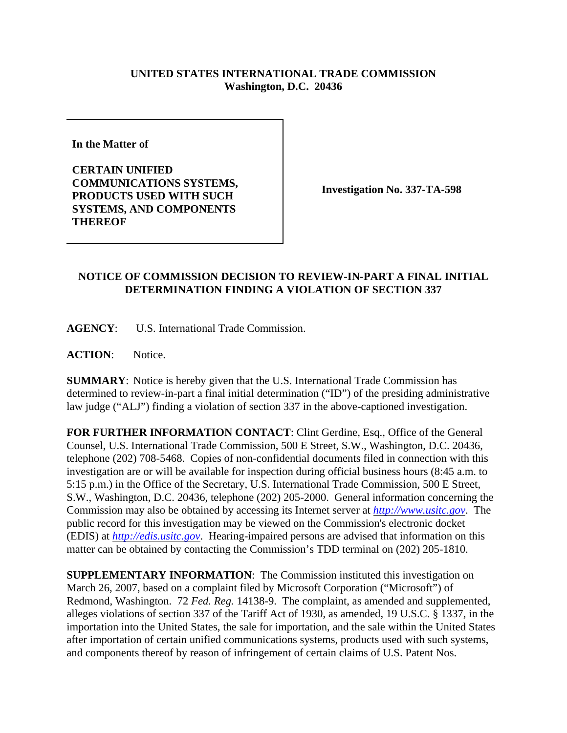## **UNITED STATES INTERNATIONAL TRADE COMMISSION Washington, D.C. 20436**

**In the Matter of** 

**CERTAIN UNIFIED COMMUNICATIONS SYSTEMS, PRODUCTS USED WITH SUCH SYSTEMS, AND COMPONENTS THEREOF**

**Investigation No. 337-TA-598**

## **NOTICE OF COMMISSION DECISION TO REVIEW-IN-PART A FINAL INITIAL DETERMINATION FINDING A VIOLATION OF SECTION 337**

**AGENCY**: U.S. International Trade Commission.

**ACTION**: Notice.

**SUMMARY**: Notice is hereby given that the U.S. International Trade Commission has determined to review-in-part a final initial determination ("ID") of the presiding administrative law judge ("ALJ") finding a violation of section 337 in the above-captioned investigation.

**FOR FURTHER INFORMATION CONTACT**: Clint Gerdine, Esq., Office of the General Counsel, U.S. International Trade Commission, 500 E Street, S.W., Washington, D.C. 20436, telephone (202) 708-5468. Copies of non-confidential documents filed in connection with this investigation are or will be available for inspection during official business hours (8:45 a.m. to 5:15 p.m.) in the Office of the Secretary, U.S. International Trade Commission, 500 E Street, S.W., Washington, D.C. 20436, telephone (202) 205-2000. General information concerning the Commission may also be obtained by accessing its Internet server at *http://www.usitc.gov*. The public record for this investigation may be viewed on the Commission's electronic docket (EDIS) at *http://edis.usitc.gov*. Hearing-impaired persons are advised that information on this matter can be obtained by contacting the Commission's TDD terminal on (202) 205-1810.

**SUPPLEMENTARY INFORMATION**: The Commission instituted this investigation on March 26, 2007, based on a complaint filed by Microsoft Corporation ("Microsoft") of Redmond, Washington. 72 *Fed. Reg.* 14138-9. The complaint, as amended and supplemented, alleges violations of section 337 of the Tariff Act of 1930, as amended, 19 U.S.C. § 1337, in the importation into the United States, the sale for importation, and the sale within the United States after importation of certain unified communications systems, products used with such systems, and components thereof by reason of infringement of certain claims of U.S. Patent Nos.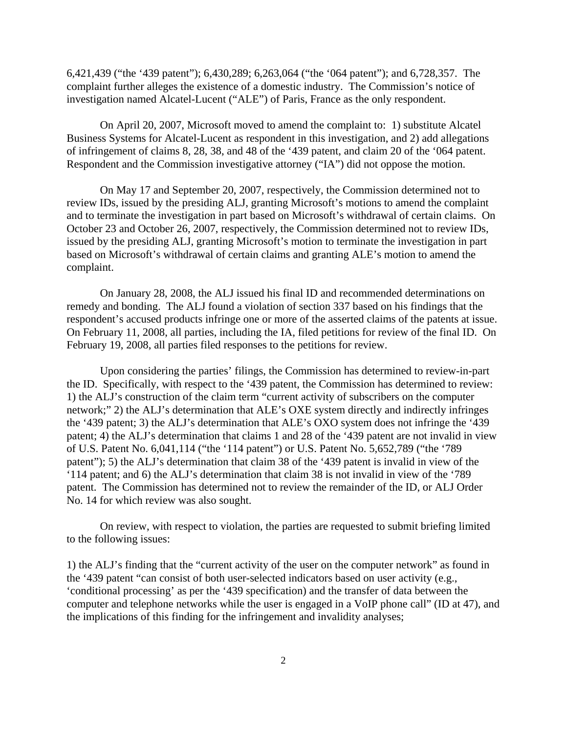6,421,439 ("the '439 patent"); 6,430,289; 6,263,064 ("the '064 patent"); and 6,728,357. The complaint further alleges the existence of a domestic industry. The Commission's notice of investigation named Alcatel-Lucent ("ALE") of Paris, France as the only respondent.

On April 20, 2007, Microsoft moved to amend the complaint to: 1) substitute Alcatel Business Systems for Alcatel-Lucent as respondent in this investigation, and 2) add allegations of infringement of claims 8, 28, 38, and 48 of the '439 patent, and claim 20 of the '064 patent. Respondent and the Commission investigative attorney ("IA") did not oppose the motion.

On May 17 and September 20, 2007, respectively, the Commission determined not to review IDs, issued by the presiding ALJ, granting Microsoft's motions to amend the complaint and to terminate the investigation in part based on Microsoft's withdrawal of certain claims. On October 23 and October 26, 2007, respectively, the Commission determined not to review IDs, issued by the presiding ALJ, granting Microsoft's motion to terminate the investigation in part based on Microsoft's withdrawal of certain claims and granting ALE's motion to amend the complaint.

On January 28, 2008, the ALJ issued his final ID and recommended determinations on remedy and bonding. The ALJ found a violation of section 337 based on his findings that the respondent's accused products infringe one or more of the asserted claims of the patents at issue. On February 11, 2008, all parties, including the IA, filed petitions for review of the final ID. On February 19, 2008, all parties filed responses to the petitions for review.

Upon considering the parties' filings, the Commission has determined to review-in-part the ID. Specifically, with respect to the '439 patent, the Commission has determined to review: 1) the ALJ's construction of the claim term "current activity of subscribers on the computer network;" 2) the ALJ's determination that ALE's OXE system directly and indirectly infringes the '439 patent; 3) the ALJ's determination that ALE's OXO system does not infringe the '439 patent; 4) the ALJ's determination that claims 1 and 28 of the '439 patent are not invalid in view of U.S. Patent No. 6,041,114 ("the '114 patent") or U.S. Patent No. 5,652,789 ("the '789 patent"); 5) the ALJ's determination that claim 38 of the '439 patent is invalid in view of the '114 patent; and 6) the ALJ's determination that claim 38 is not invalid in view of the '789 patent. The Commission has determined not to review the remainder of the ID, or ALJ Order No. 14 for which review was also sought.

On review, with respect to violation, the parties are requested to submit briefing limited to the following issues:

1) the ALJ's finding that the "current activity of the user on the computer network" as found in the '439 patent "can consist of both user-selected indicators based on user activity (e.g., 'conditional processing' as per the '439 specification) and the transfer of data between the computer and telephone networks while the user is engaged in a VoIP phone call" (ID at 47), and the implications of this finding for the infringement and invalidity analyses;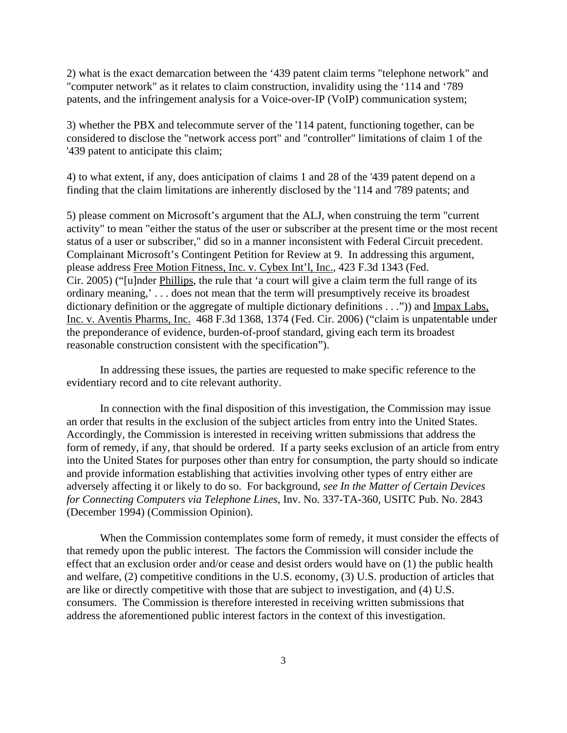2) what is the exact demarcation between the '439 patent claim terms "telephone network" and "computer network" as it relates to claim construction, invalidity using the '114 and '789 patents, and the infringement analysis for a Voice-over-IP (VoIP) communication system;

3) whether the PBX and telecommute server of the '114 patent, functioning together, can be considered to disclose the "network access port" and "controller" limitations of claim 1 of the '439 patent to anticipate this claim;

4) to what extent, if any, does anticipation of claims 1 and 28 of the '439 patent depend on a finding that the claim limitations are inherently disclosed by the '114 and '789 patents; and

5) please comment on Microsoft's argument that the ALJ, when construing the term "current activity" to mean "either the status of the user or subscriber at the present time or the most recent status of a user or subscriber," did so in a manner inconsistent with Federal Circuit precedent. Complainant Microsoft's Contingent Petition for Review at 9. In addressing this argument, please address Free Motion Fitness, Inc. v. Cybex Int'l, Inc., 423 F.3d 1343 (Fed. Cir. 2005) ("[u]nder Phillips, the rule that 'a court will give a claim term the full range of its ordinary meaning,' . . . does not mean that the term will presumptively receive its broadest dictionary definition or the aggregate of multiple dictionary definitions . . .")) and Impax Labs, Inc. v. Aventis Pharms, Inc. 468 F.3d 1368, 1374 (Fed. Cir. 2006) ("claim is unpatentable under the preponderance of evidence, burden-of-proof standard, giving each term its broadest reasonable construction consistent with the specification").

In addressing these issues, the parties are requested to make specific reference to the evidentiary record and to cite relevant authority.

In connection with the final disposition of this investigation, the Commission may issue an order that results in the exclusion of the subject articles from entry into the United States. Accordingly, the Commission is interested in receiving written submissions that address the form of remedy, if any, that should be ordered. If a party seeks exclusion of an article from entry into the United States for purposes other than entry for consumption, the party should so indicate and provide information establishing that activities involving other types of entry either are adversely affecting it or likely to do so. For background, *see In the Matter of Certain Devices for Connecting Computers via Telephone Lines*, Inv. No. 337-TA-360, USITC Pub. No. 2843 (December 1994) (Commission Opinion).

When the Commission contemplates some form of remedy, it must consider the effects of that remedy upon the public interest. The factors the Commission will consider include the effect that an exclusion order and/or cease and desist orders would have on (1) the public health and welfare, (2) competitive conditions in the U.S. economy, (3) U.S. production of articles that are like or directly competitive with those that are subject to investigation, and (4) U.S. consumers. The Commission is therefore interested in receiving written submissions that address the aforementioned public interest factors in the context of this investigation.